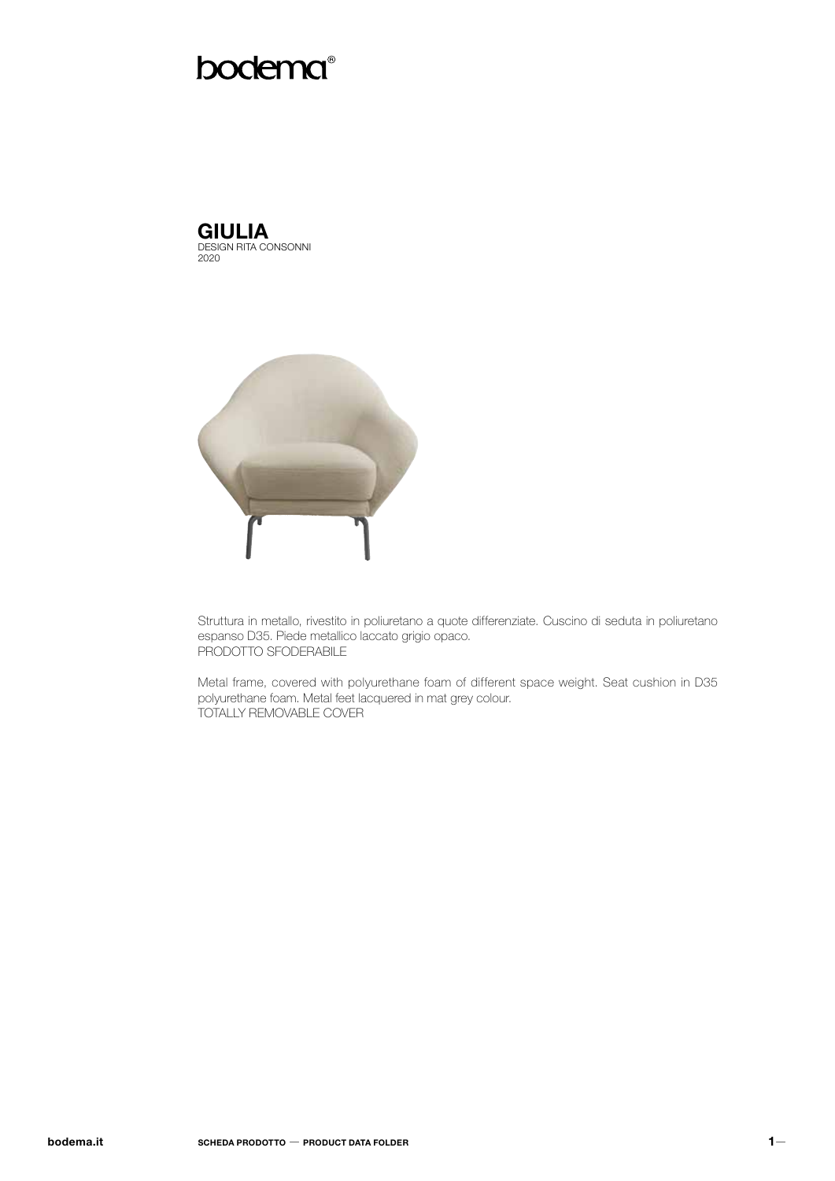# **bodema**®





Struttura in metallo, rivestito in poliuretano a quote differenziate. Cuscino di seduta in poliuretano espanso D35. Piede metallico laccato grigio opaco. PRODOTTO SFODERABILE

Metal frame, covered with polyurethane foam of different space weight. Seat cushion in D35 polyurethane foam. Metal feet lacquered in mat grey colour. TOTALLY REMOVABLE COVER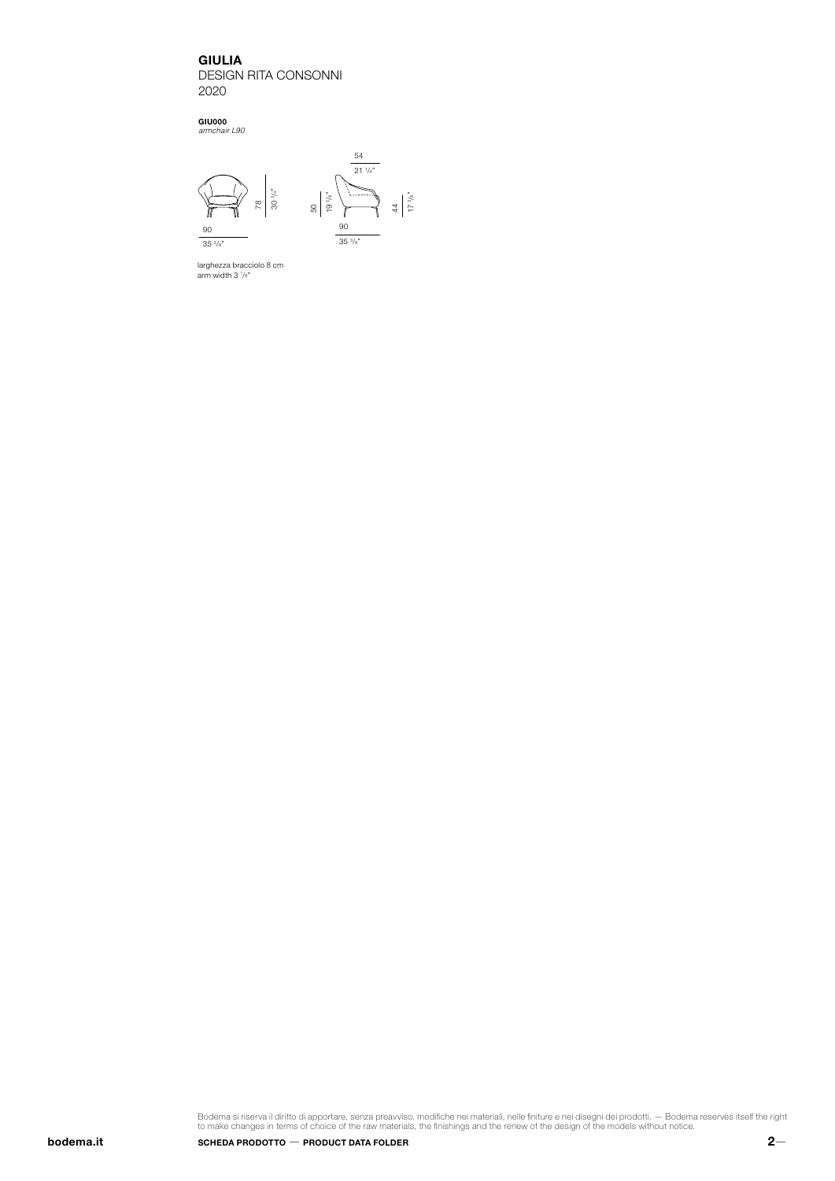### GIULIA DESIGN RITA CONSONNI

2020

GIU000 *armchair L90*



larghezza bracciolo 8 cm arm width 3 1 /8"

Bodema si riserva il diritto di apportare, senza preavviso, modifiche nei materiali, nelle finiture e nei disegni dei prodotti. — Bodema reserves itself the right<br>to make changes in terms of choice of the raw materials, th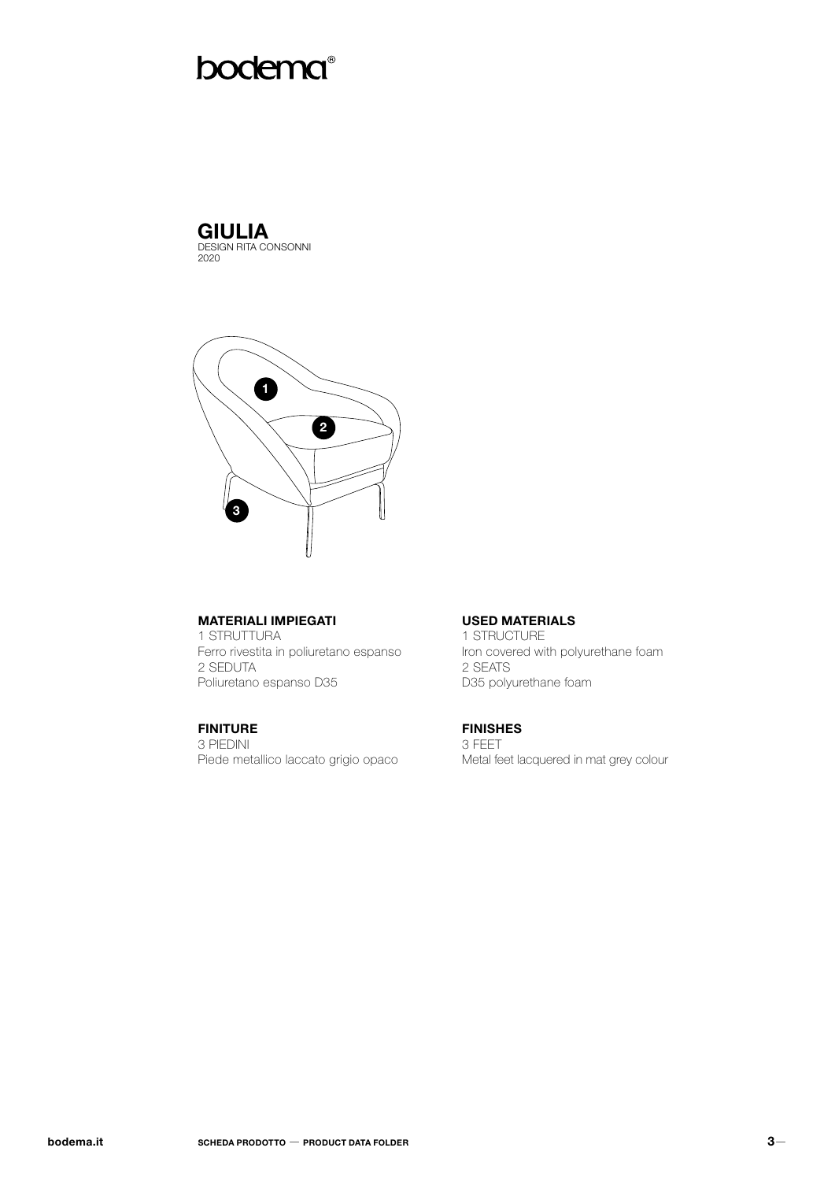# **bodema**®

**GIULIA**<br>DESIGN RITA CONSONNI<br>2020



# **MATERIALI IMPIEGATI**

1 STRUTTURA Ferro rivestita in poliuretano espanso 2 SEDUTA Poliuretano espanso D35

# **FINITURE**

3 PIEDINI Piede metallico laccato grigio opaco

### **USED MATERIALS**

1 STRUCTURE Iron covered with polyurethane foam 2 SEATS D35 polyurethane foam

# **FINISHES**

3 FEET Metal feet lacquered in mat grey colour